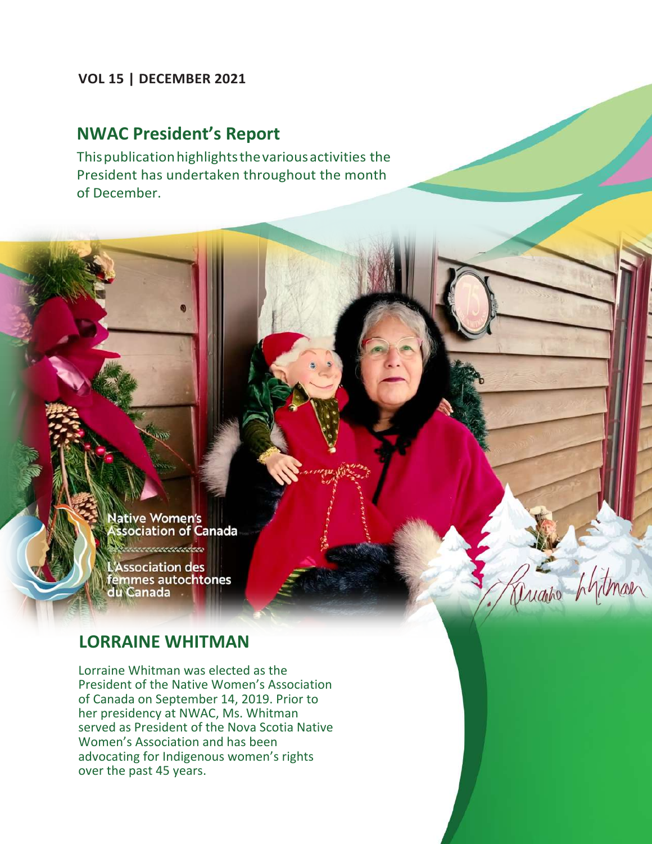#### **VOL 15 | DECEMBER 2021**

## **NWAC President's Report**

Thispublicationhighlightsthevariousactivities the President has undertaken throughout the month of December.

> **Jative Women's** ssociation of Canada

aaaaaaadaa

'Association des femmes autochtones du Canada

### **LORRAINE WHITMAN**

Lorraine Whitman was elected as the President of the Native Women's Association of Canada on September 14, 2019. Prior to her presidency at NWAC, Ms. Whitman served as President of the Nova Scotia Native Women's Association and has been advocating for Indigenous women's rights over the past 45 years.

augine hytman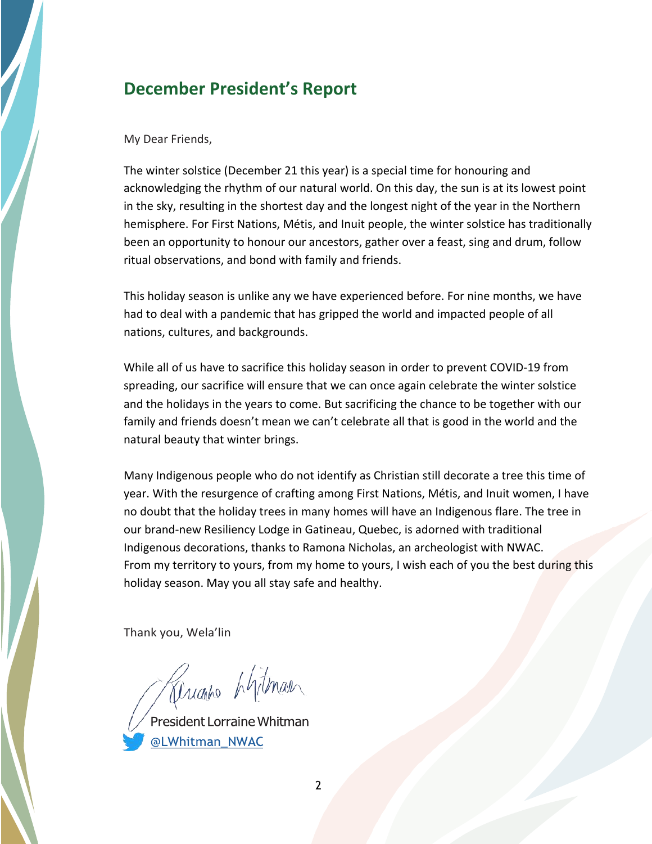## **December President's Report**

#### My Dear Friends,

The winter solstice (December 21 this year) is a special time for honouring and acknowledging the rhythm of our natural world. On this day, the sun is at its lowest point in the sky, resulting in the shortest day and the longest night of the year in the Northern hemisphere. For First Nations, Métis, and Inuit people, the winter solstice has traditionally been an opportunity to honour our ancestors, gather over a feast, sing and drum, follow ritual observations, and bond with family and friends.

This holiday season is unlike any we have experienced before. For nine months, we have had to deal with a pandemic that has gripped the world and impacted people of all nations, cultures, and backgrounds.

While all of us have to sacrifice this holiday season in order to prevent COVID-19 from spreading, our sacrifice will ensure that we can once again celebrate the winter solstice and the holidays in the years to come. But sacrificing the chance to be together with our family and friends doesn't mean we can't celebrate all that is good in the world and the natural beauty that winter brings.

Many Indigenous people who do not identify as Christian still decorate a tree this time of year. With the resurgence of crafting among First Nations, Métis, and Inuit women, I have no doubt that the holiday trees in many homes will have an Indigenous flare. The tree in our brand-new Resiliency Lodge in Gatineau, Quebec, is adorned with traditional Indigenous decorations, thanks to Ramona Nicholas, an archeologist with NWAC. From my territory to yours, from my home to yours, I wish each of you the best during this holiday season. May you all stay safe and healthy.

Thank you, Wela'lin

Ruanto Lythan

President Lorraine Whitman @LWhitman NWAC

2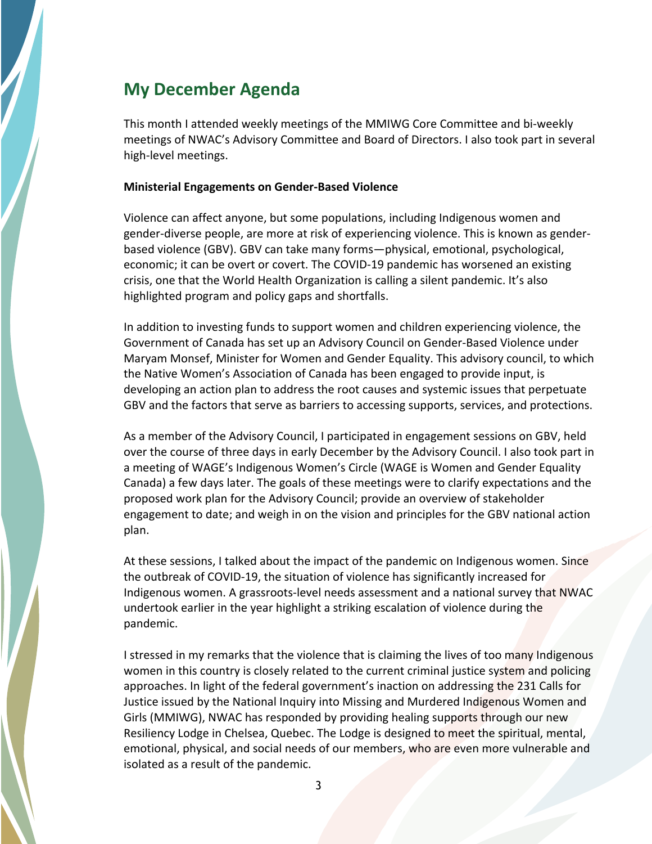## **My December Agenda**

This month I attended weekly meetings of the MMIWG Core Committee and bi-weekly meetings of NWAC's Advisory Committee and Board of Directors. I also took part in several high-level meetings.

#### **Ministerial Engagements on Gender-Based Violence**

Violence can affect anyone, but some populations, including Indigenous women and gender-diverse people, are more at risk of experiencing violence. This is known as genderbased violence (GBV). GBV can take many forms—physical, emotional, psychological, economic; it can be overt or covert. The COVID-19 pandemic has worsened an existing crisis, one that the World Health Organization is calling a silent pandemic. It's also highlighted program and policy gaps and shortfalls.

In addition to investing funds to support women and children experiencing violence, the Government of Canada has set up an Advisory Council on Gender-Based Violence under Maryam Monsef, Minister for Women and Gender Equality. This advisory council, to which the Native Women's Association of Canada has been engaged to provide input, is developing an action plan to address the root causes and systemic issues that perpetuate GBV and the factors that serve as barriers to accessing supports, services, and protections.

As a member of the Advisory Council, I participated in engagement sessions on GBV, held over the course of three days in early December by the Advisory Council. I also took part in a meeting of WAGE's Indigenous Women's Circle (WAGE is Women and Gender Equality Canada) a few days later. The goals of these meetings were to clarify expectations and the proposed work plan for the Advisory Council; provide an overview of stakeholder engagement to date; and weigh in on the vision and principles for the GBV national action plan.

At these sessions, I talked about the impact of the pandemic on Indigenous women. Since the outbreak of COVID-19, the situation of violence has significantly increased for Indigenous women. A grassroots-level needs assessment and a national survey that NWAC undertook earlier in the year highlight a striking escalation of violence during the pandemic.

I stressed in my remarks that the violence that is claiming the lives of too many Indigenous women in this country is closely related to the current criminal justice system and policing approaches. In light of the federal government's inaction on addressing the 231 Calls for Justice issued by the National Inquiry into Missing and Murdered Indigenous Women and Girls (MMIWG), NWAC has responded by providing healing supports through our new Resiliency Lodge in Chelsea, Quebec. The Lodge is designed to meet the spiritual, mental, emotional, physical, and social needs of our members, who are even more vulnerable and isolated as a result of the pandemic.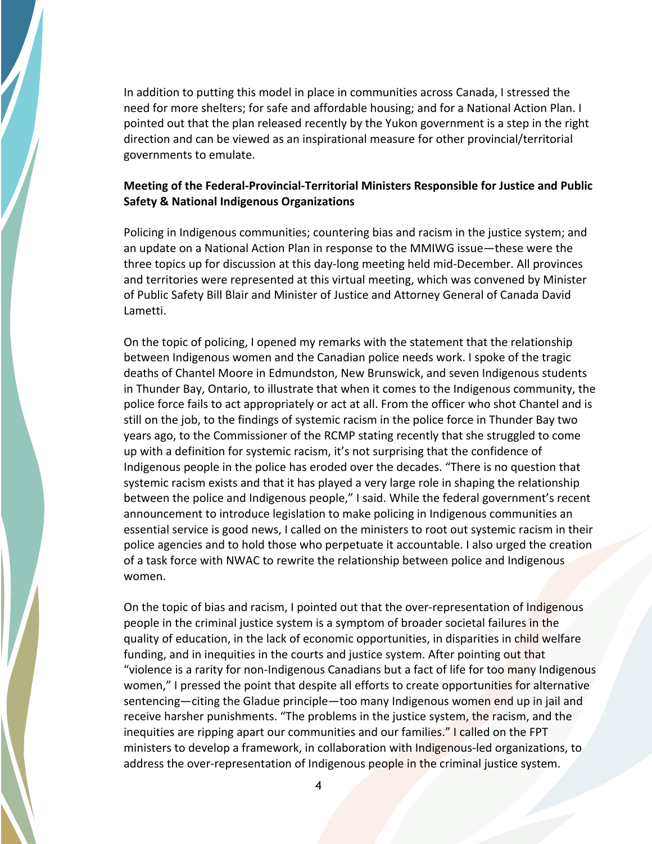In addition to putting this model in place in communities across Canada, I stressed the need for more shelters; for safe and affordable housing; and for a National Action Plan. I pointed out that the plan released recently by the Yukon government is a step in the right direction and can be viewed as an inspirational measure for other provincial/territorial governments to emulate.

#### **Meeting of the Federal-Provincial-Territorial Ministers Responsible for Justice and Public Safety & National Indigenous Organizations**

Policing in Indigenous communities; countering bias and racism in the justice system; and an update on a National Action Plan in response to the MMIWG issue—these were the three topics up for discussion at this day-long meeting held mid-December. All provinces and territories were represented at this virtual meeting, which was convened by Minister of Public Safety Bill Blair and Minister of Justice and Attorney General of Canada David Lametti.

On the topic of policing, I opened my remarks with the statement that the relationship between Indigenous women and the Canadian police needs work. I spoke of the tragic deaths of Chantel Moore in Edmundston, New Brunswick, and seven Indigenous students in Thunder Bay, Ontario, to illustrate that when it comes to the Indigenous community, the police force fails to act appropriately or act at all. From the officer who shot Chantel and is still on the job, to the findings of systemic racism in the police force in Thunder Bay two years ago, to the Commissioner of the RCMP stating recently that she struggled to come up with a definition for systemic racism, it's not surprising that the confidence of Indigenous people in the police has eroded over the decades. "There is no question that systemic racism exists and that it has played a very large role in shaping the relationship between the police and Indigenous people," I said. While the federal government's recent announcement to introduce legislation to make policing in Indigenous communities an essential service is good news, I called on the ministers to root out systemic racism in their police agencies and to hold those who perpetuate it accountable. I also urged the creation of a task force with NWAC to rewrite the relationship between police and Indigenous women.

On the topic of bias and racism, I pointed out that the over-representation of Indigenous people in the criminal justice system is a symptom of broader societal failures in the quality of education, in the lack of economic opportunities, in disparities in child welfare funding, and in inequities in the courts and justice system. After pointing out that "violence is a rarity for non-Indigenous Canadians but a fact of life for too many Indigenous women," I pressed the point that despite all efforts to create opportunities for alternative sentencing—citing the Gladue principle—too many Indigenous women end up in jail and receive harsher punishments. "The problems in the justice system, the racism, and the inequities are ripping apart our communities and our families." I called on the FPT ministers to develop a framework, in collaboration with Indigenous-led organizations, to address the over-representation of Indigenous people in the criminal justice system.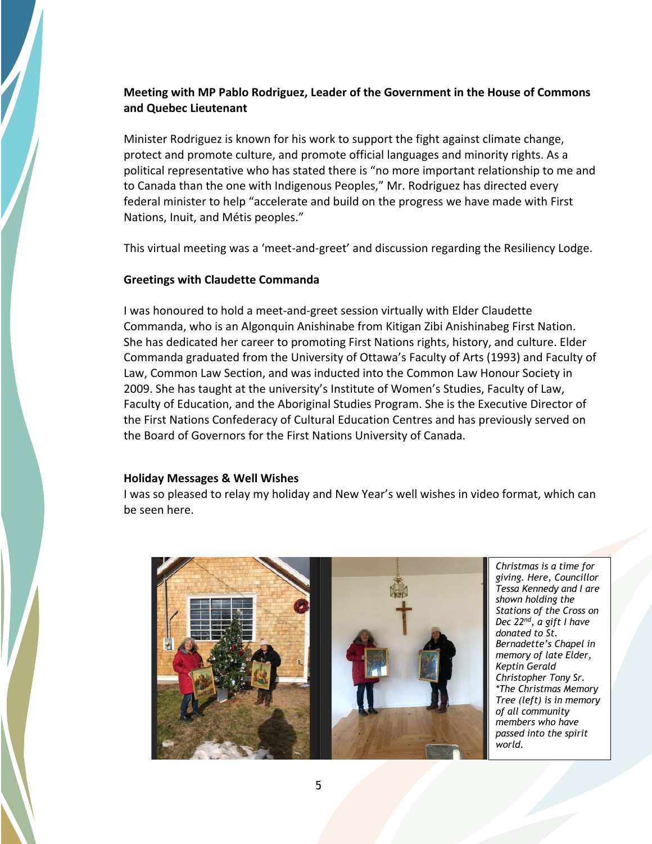#### **Meeting with MP Pablo Rodriguez, Leader of the Government in the House of Commons and Quebec Lieutenant**

Minister Rodriguez is known for his work to support the fight against climate change, protect and promote culture, and promote official languages and minority rights. As a political representative who has stated there is "no more important relationship to me and to Canada than the one with Indigenous Peoples," Mr. Rodriguez has directed every federal minister to help "accelerate and build on the progress we have made with First Nations, Inuit, and Métis peoples."

This virtual meeting was a 'meet-and-greet' and discussion regarding the Resiliency Lodge.

#### **Greetings with Claudette Commanda**

I was honoured to hold a meet-and-greet session virtually with Elder Claudette Commanda, who is an Algonquin Anishinabe from Kitigan Zibi Anishinabeg First Nation. She has dedicated her career to promoting First Nations rights, history, and culture. Elder Commanda graduated from the University of Ottawa's Faculty of Arts (1993) and Faculty of Law, Common Law Section, and was inducted into the Common Law Honour Society in 2009. She has taught at the university's Institute of Women's Studies, Faculty of Law, Faculty of Education, and the Aboriginal Studies Program. She is the Executive Director of the First Nations Confederacy of Cultural Education Centres and has previously served on the Board of Governors for the First Nations University of Canada.

#### **Holiday Messages & Well Wishes**

I was so pleased to relay my holiday and New Year's well wishes in video format, which can be seen here.



*Christmas is a time for giving. Here, Councillor Tessa Kennedy and I are shown holding the Stations of the Cross on Dec 22nd, a gift I have donated to St. Bernadette's Chapel in memory of late Elder, Keptin Gerald Christopher Tony Sr. \*The Christmas Memory Tree (left) is in memory of all community members who have passed into the spirit world.*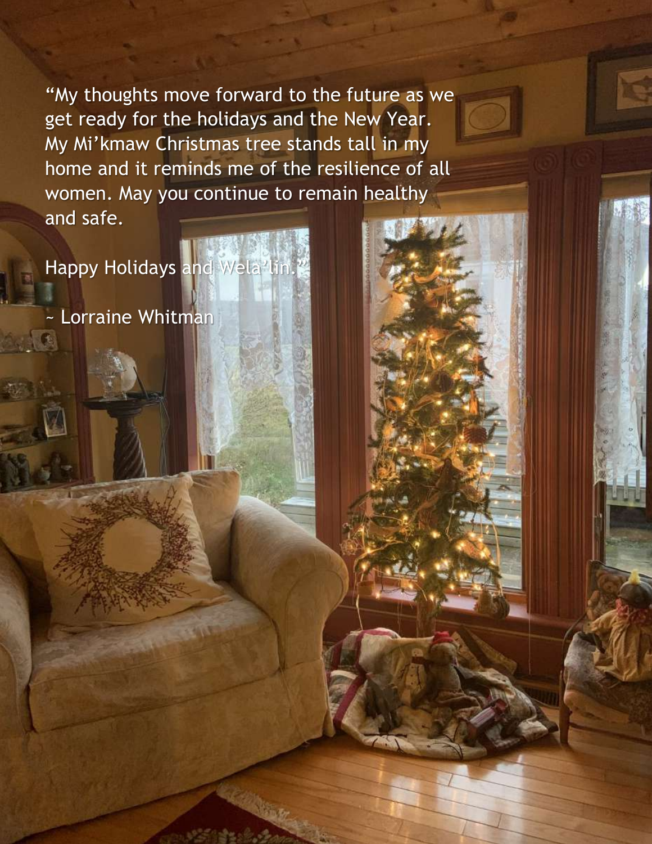"My thoughts move forward to the future as we get ready for the holidays and the New Year. My Mi'kmaw Christmas tree stands tall in my home and it reminds me of the resilience of all women. May you continue to remain healthy and safe.

Happy Holidays and Wela<sup>2</sup>lin.

~ Lorraine Whitman